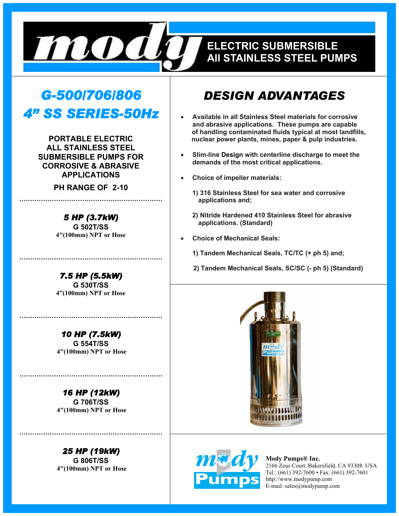

## **EELECTRIC SUBMERSIBLE ELECTRIC SUBMERSIBLE ALL STAINLESS STEEL PUMPS All STAINLESS STEEL PUMPS**

# *G-500/706/806 4" SS SERIES-50Hz*

**PORTABLE ELECTRIC ALL STAINLESS STEEL SUBMERSIBLE PUMPS FOR CORROSIVE & ABRASIVE APPLICATIONS** 

**PH RANGE OF 2-10** 

**…………………………………………………………** 

*5 HP (3.7kW)*  **G 502T/SS 4"(100mm) NPT or Hose** 

*7.5 HP (5.5kW)*  **G 530T/SS 4"(100mm) NPT or Hose** 

**…………………………………………………………** 

*10 HP (7.5kW)*  **G 554T/SS 4"(100mm) NPT or Hose** 

**…………………………………………………………** 

*16 HP (12kW)*  **G 706T/SS 4"(100mm) NPT or Hose** 

**…………………………………………………………** 

*25 HP (19kW)*  **G 806T/SS 4"(100mm) NPT or Hose** 

**…………………………………………………………** 

## *DESIGN ADVANTAGES*

- **Available in all Stainless Steel materials for corrosive and abrasive applications. These pumps are capable of handling contaminated fluids typical at most landfills, nuclear power plants, mines, paper & pulp industries.**
- **Slim-line Design with centerline discharge to meet the demands of the most critical applications.**
- **Choice of impeller materials:** 
	- **1) 316 Stainless Steel for sea water and corrosive applications and;**
	- **2) Nitride Hardened 410 Stainless Steel for abrasive applications. (Standard)**
- **Choice of Mechanical Seals:** 
	- **1) Tandem Mechanical Seals, TC/TC (+ ph 5) and;**
	- **2) Tandem Mechanical Seals, SC/SC (- ph 5) (Standard)**





**Mody Pumps® Inc.**  2166 Zeus Court, Bakersfield, CA 93308. USA Tel.: (661) 392-7600 • Fax: (661) 392-7601 http://www.modypump.com E-mail: sales@modypump.com